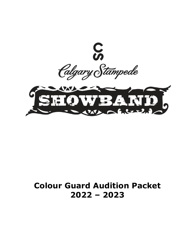

# **Colour Guard Audition Packet 2022 – 2023**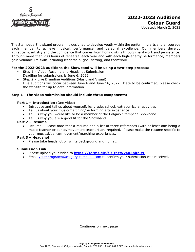

The Stampede Showband program is designed to develop youth within the performing arts and encourage each member to achieve musical, performance, and personal excellence. Our members develop athleticism, artistry and the confidence that comes from honing skills through hard work and persistence. Through more than 700 hours of rehearsal each year and with each high-energy performance, members gain valuable life skills including leadership, goal-setting, and teamwork.

# **For the 2022-2023 auditions the Showband will be using a two-step process:**

- Step 1 Video, Resume and Headshot Submission Deadline for submissions is June 6, 2022
	- Step 2 Live Drumline Auditions (Music and Visual) Live auditions will occur between June 6 and June 16, 2022. Date to be confirmed, please check the website for up to date information

#### **Step 1 - The video submission should include three components:**

#### **Part 1 – Introduction** (One video)

- Introduce and tell us about yourself, ie: grade, school, extracurricular activities
- Tell us about your music/marching/performing arts experience
- Tell us why you would like to be a member of the Calgary Stampede Showband
- Tell us why you are a good fit for the Showband

#### **Part 2 – Resume**

• Resume - Please note that a resume and a list of three references (with at least one being a music teacher or dance/movement teacher) are required. Please make the resume specific to your musical/dance/movement/marching experiences.

#### **Part 3 – Headshot**

• Please take headshot on white background and no hat.

# **Submission Link**

- Please upload your video to **[https://forms.gle/jRTtaYWy4K5pitp99](https://forms.gle/C6ZCLcuJSJEeAoBMA)**
- Email [youthprograms@calgarystampede.com](mailto:youthprograms@calgarystampede.com) to confirm your submission was received.

Continues on next page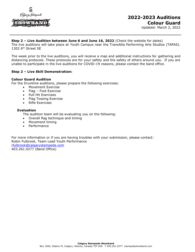

#### **Step 2 – Live Audition between June 6 and June 16, 2022** (Check the website for dates)

The live auditions will take place at Youth Campus near the TransAlta Performing Arts Studios (TAPAS). 1302 6th Street SE

The week prior to the live auditions, you will receive a map and additional instructions for gathering and distancing protocols. These protocols are for your safety and the safety of others around you. If you are unable to participate in the live auditions for COVID-19 reasons, please contact the band office.

# **Step 2 – Live Skill Demonstration:**

#### **Colour Guard Audition**

For the Drumline auditions, please prepare the following exercises:

- Movement Exercise
- Flag Foot Exercise
- Pull Hit Exercises
- Flag Tossing Exercise
- Rifle Exercises

#### **Evaluation**

The audition team will be evaluating you on the following:

- Overall flag technique and timing
- Movement timing
- **Performance**

For more information or if you are having troubles with your submission, please contact: Robin Fulbrook, Team Lead Youth Performance [rfulbrook@calgarystampede.com](mailto:rfulbrook@calgarystampede.com) 403.261.0277 (Band Office)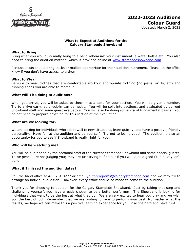

# **What to Expect at Auditions for the Calgary Stampede Showband**

#### **What to Bring**

Bring what you would normally bring to a band rehearsal: your instrument, a water bottle etc. You also need to bring the audition material which is provided online at [www.stampedeshowband.com.](http://www.stampedeshowband.com/)

Percussionists should bring sticks or mallets appropriate for their audition instrument. Please let the office know if you don't have access to a drum.

#### **What to Wear**

Be sure to wear clothes that are comfortable workout appropriate clothing (no jeans, skirts, etc) and running shoes you are able to march in.

#### **What will I be doing at auditions?**

When you arrive, you will be asked to check in at a table for your section. You will be given a number. Try to arrive early, as check-in can be hectic. You will be split into sections, and evaluated by current Showband staff and some guest evaluators. You will also be doing some visual fundamental basics. You do not need to prepare anything for this section of the evaluation.

#### **What are we looking for?**

We are looking for individuals who adapt well to new situations, learn quickly, and have a positive, friendly personality. Have fun at the audition and be yourself. Try not to be nervous! The audition is also an opportunity for you to see if Showband is really right for you.

#### **Who will be watching me?**

You will be auditioned by the sectional staff of the current Stampede Showband and some special guests. These people are not judging you; they are just trying to find out if you would be a good fit in next year's band.

#### **What if I missed the audition dates?**

Call the band office at 403.261.0277 or email [youthprograms@calgarystampede.com](mailto:youthprograms@calgarystampede.com) and we may try to arrange an individual audition. However, every effort should be made to come to the audition.

Thank you for choosing to audition for the Calgary Stampede Showband. Just by taking that step and challenging yourself, you have already chosen to be a better performer! The Showband is looking for individuals that want to be the best at what they do. We are very excited to hear you play and we wish you the best of luck. Remember that we are rooting for you to perform your best! No matter what the results, we hope we can make this a positive learning experience for you. Practice hard and have fun!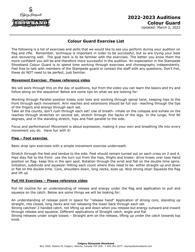

# **2022-2023 Auditions Colour Guard**

Updated: March 2, 2022

# **Colour Guard Exercise List**

The following is a list of exercises and skills that we would like to see you perform during your audition on flag and rifle. Remember, technique is important in order to be successful, but so are trying your best and recovering well. The goal here is to be familiar with the exercises. The better you know them the more confident you will be and therefore more successful in the audition. An expectation in the Stampede Showband Colour Guard is to spend time working through exercises and choreography independently. Feel free to talk with members of the Stampede guard or contact the staff with any questions. Don't fret, these do NOT need to be perfect, just familiar.

# **Movement Exercise: Please reference video**

We will work through this on the day of auditions, but from the video you can learn the basics and try and follow along on the sequence! Below are some tips on what we are looking for:

Working through Parallel position knees over toes and working through spinal twist, keeping hips to the front through each movement. Arm reaches and extensions should be full out- reaching through the tips of the fingers and energy through each set.

Take all the counts, don't rush through each set! Use of breath- inhale on the collapse and exhale on the reaches through stretches on second set, stretch through the backs of the legs. In the lunge, find 90 degrees, and in the standing stretch, hips and Feet parallel to the side.

Focus and performance! Movement is about expression, making it your own and breathing life into every movement you do. Have fun with it!

# **Flag – Foot exercise**

Basic drop spin exercises with a simple movement exercise underneath.

Stretch through the feet and tendue to the side. Feet should remain turned out on each cross on 2 and 4. Hips stay flat to the front- use the turn out from the hips, thighs and knees- drive knees over toes Hand position on flag- keep this in the spin spot. Rotation through the wrist and flat on the double time spins. Initiation, subdivide and squeeze! Hitting each count where they need to be- either straight up and down or flat on the double time. Core, shoulders down, long necks, eyes up. Nice strong stop! Squeeze the flag and lift up

# **Pull Hit Exercises – Please reference video**

Pull hit routine for an understanding of release and energy under the flag and application to pull and squeeze on the catch. Below are some things we will be looking for:

An understanding of release point in space for "release hand" Application of strong core, standing up straight, ribs closed, long necks and not releasing the lower back through each set.

Strong catches! 2 handed catch, not lifting up and down when you release but energy outward and inward through release and squeeze. Different applications of Straight catch, angle and flat

Strong releases under single tosses – Straight arm on the release, lifting up under the catch towards top knob.